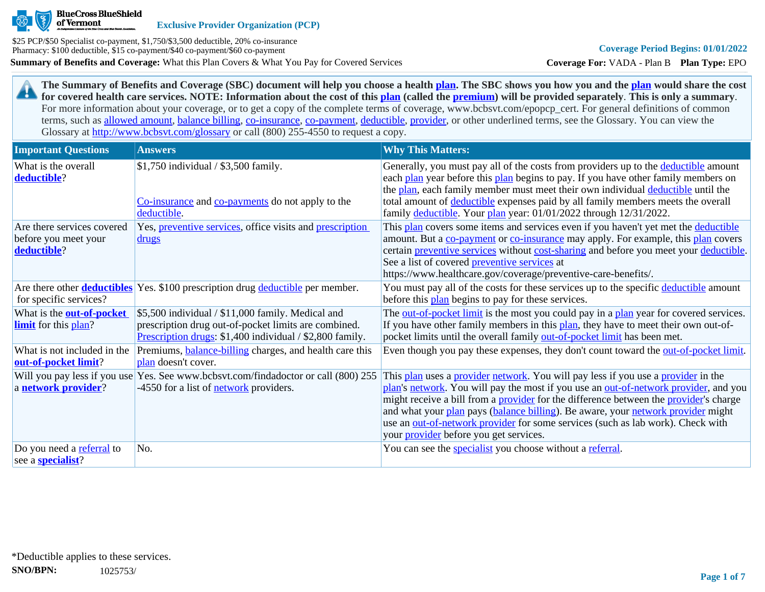

**Exclusive Provider Organization (PCP)**

**Summary of Benefits and Coverage:** What this Plan Covers & What You Pay for Covered Services \$25 PCP/\$50 Specialist co-payment, \$1,750/\$3,500 deductible, 20% co-insurance Pharmacy: \$100 deductible, \$15 co-payment/\$40 co-payment/\$60 co-payment

**Coverage For:** VADA - Plan B **Plan Type:** EPO

**The Summary of Benefits and Coverage (SBC) document will help you choose a health [plan](https://www.healthcare.gov/sbc-glossary/#plan). The SBC shows you how you and the [plan](https://www.healthcare.gov/sbc-glossary/#plan) would share the cost**  29 **for covered health care services. NOTE: Information about the cost of this [plan](https://www.healthcare.gov/sbc-glossary/#plan) (called the [premium](https://www.healthcare.gov/sbc-glossary/#premium)) will be provided separately**. **This is only a summary**. For more information about your coverage, or to get a copy of the complete terms of coverage, www.bcbsvt.com/epopcp\_cert. For general definitions of common terms, such as [allowed amount](https://www.healthcare.gov/sbc-glossary/#allowed-amount), [balance billing,](https://www.healthcare.gov/sbc-glossary/#balance-billing) [co-insurance,](https://www.healthcare.gov/sbc-glossary/#coinsurance) [co-payment,](https://www.healthcare.gov/sbc-glossary/#copayment) [deductible](https://www.healthcare.gov/sbc-glossary/#deductible), [provider,](https://www.healthcare.gov/sbc-glossary/#provider) or other underlined terms, see the Glossary. You can view the Glossary at <http://www.bcbsvt.com/glossary>or call (800) 255-4550 to request a copy.

| <b>Important Questions</b>                                        | <b>Answers</b>                                                                                                                                                        | <b>Why This Matters:</b>                                                                                                                                                                                                                                                                                                                                                                                                                                                                                  |
|-------------------------------------------------------------------|-----------------------------------------------------------------------------------------------------------------------------------------------------------------------|-----------------------------------------------------------------------------------------------------------------------------------------------------------------------------------------------------------------------------------------------------------------------------------------------------------------------------------------------------------------------------------------------------------------------------------------------------------------------------------------------------------|
| What is the overall<br>deductible?                                | \$1,750 individual / \$3,500 family.<br>Co-insurance and co-payments do not apply to the<br>deductible.                                                               | Generally, you must pay all of the costs from providers up to the deductible amount<br>each plan year before this plan begins to pay. If you have other family members on<br>the plan, each family member must meet their own individual deductible until the<br>total amount of deductible expenses paid by all family members meets the overall<br>family deductible. Your plan year: 01/01/2022 through 12/31/2022.                                                                                    |
| Are there services covered<br>before you meet your<br>deductible? | Yes, <i>preventive services</i> , office visits and <i>prescription</i><br><u>drugs</u>                                                                               | This plan covers some items and services even if you haven't yet met the deductible<br>amount. But a co-payment or co-insurance may apply. For example, this plan covers<br>certain preventive services without cost-sharing and before you meet your deductible.<br>See a list of covered <b>preventive services</b> at<br>https://www.healthcare.gov/coverage/preventive-care-benefits/.                                                                                                                |
| for specific services?                                            | Are there other <b>deductibles</b> Yes. \$100 prescription drug deductible per member.                                                                                | You must pay all of the costs for these services up to the specific deductible amount<br>before this plan begins to pay for these services.                                                                                                                                                                                                                                                                                                                                                               |
| What is the <b>out-of-pocket</b><br><b>limit</b> for this plan?   | \$5,500 individual / \$11,000 family. Medical and<br>prescription drug out-of-pocket limits are combined.<br>Prescription drugs: \$1,400 individual / \$2,800 family. | The out-of-pocket limit is the most you could pay in a plan year for covered services.<br>If you have other family members in this plan, they have to meet their own out-of-<br>pocket limits until the overall family out-of-pocket limit has been met.                                                                                                                                                                                                                                                  |
| What is not included in the<br>out-of-pocket limit?               | Premiums, <b>balance-billing</b> charges, and health care this<br>plan doesn't cover.                                                                                 | Even though you pay these expenses, they don't count toward the <u>out-of-pocket limit</u> .                                                                                                                                                                                                                                                                                                                                                                                                              |
| Will you pay less if you use<br>a network provider?               | Yes. See www.bcbsvt.com/findadoctor or call (800) 255<br>-4550 for a list of <b>network</b> providers.                                                                | This plan uses a provider network. You will pay less if you use a provider in the<br>plan's network. You will pay the most if you use an out-of-network provider, and you<br>might receive a bill from a <b>provider</b> for the difference between the <b>provider</b> 's charge<br>and what your plan pays (balance billing). Be aware, your network provider might<br>use an out-of-network provider for some services (such as lab work). Check with<br>your <i>provider</i> before you get services. |
| Do you need a referral to<br>see a <b>specialist</b> ?            | No.                                                                                                                                                                   | You can see the specialist you choose without a referral.                                                                                                                                                                                                                                                                                                                                                                                                                                                 |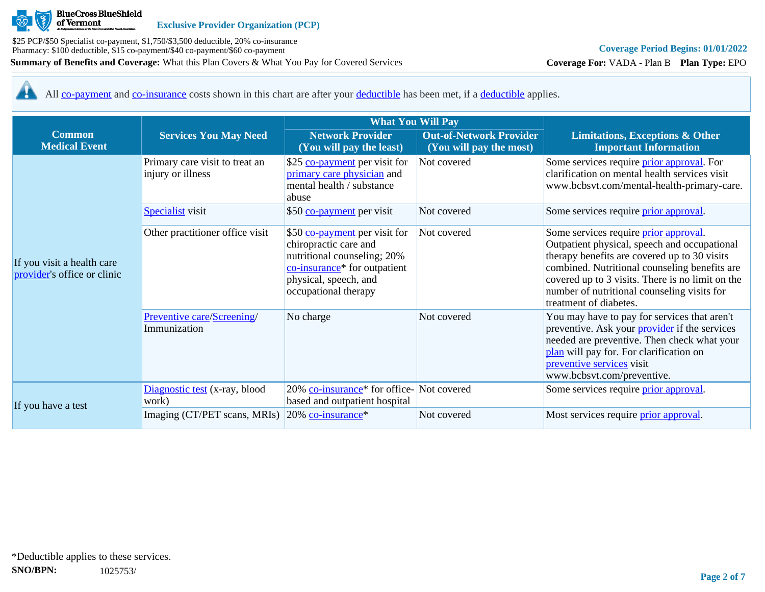

**Coverage For:** VADA - Plan B **Plan Type:** EPO

All [co-payment](https://www.healthcare.gov/sbc-glossary/#copayment) and [co-insurance](https://www.healthcare.gov/sbc-glossary/#coinsurance) costs shown in this chart are after your [deductible](https://www.healthcare.gov/sbc-glossary/#deductible) has been met, if a [deductible](https://www.healthcare.gov/sbc-glossary/#deductible) applies. 44

|                                                           |                                                                                | <b>What You Will Pay</b>                                                                                                                                                           |                                                           |                                                                                                                                                                                                                                                                                                                     |  |
|-----------------------------------------------------------|--------------------------------------------------------------------------------|------------------------------------------------------------------------------------------------------------------------------------------------------------------------------------|-----------------------------------------------------------|---------------------------------------------------------------------------------------------------------------------------------------------------------------------------------------------------------------------------------------------------------------------------------------------------------------------|--|
| <b>Common</b><br><b>Medical Event</b>                     | <b>Services You May Need</b>                                                   | <b>Network Provider</b><br>(You will pay the least)                                                                                                                                | <b>Out-of-Network Provider</b><br>(You will pay the most) | <b>Limitations, Exceptions &amp; Other</b><br><b>Important Information</b>                                                                                                                                                                                                                                          |  |
|                                                           | Primary care visit to treat an<br>injury or illness<br><b>Specialist</b> visit | \$25 co-payment per visit for<br>primary care physician and<br>mental health / substance<br>abuse<br>\$50 co-payment per visit                                                     | Not covered<br>Not covered                                | Some services require <i>prior approval</i> . For<br>clarification on mental health services visit<br>www.bcbsvt.com/mental-health-primary-care.<br>Some services require <i>prior approval</i> .                                                                                                                   |  |
| If you visit a health care<br>provider's office or clinic | Other practitioner office visit                                                | \$50 co-payment per visit for<br>chiropractic care and<br>nutritional counseling; 20%<br>co-insurance <sup>*</sup> for outpatient<br>physical, speech, and<br>occupational therapy | Not covered                                               | Some services require prior approval.<br>Outpatient physical, speech and occupational<br>therapy benefits are covered up to 30 visits<br>combined. Nutritional counseling benefits are<br>covered up to 3 visits. There is no limit on the<br>number of nutritional counseling visits for<br>treatment of diabetes. |  |
|                                                           | Preventive care/Screening/<br>Immunization                                     | No charge                                                                                                                                                                          | Not covered                                               | You may have to pay for services that aren't<br>preventive. Ask your <i>provider</i> if the services<br>needed are preventive. Then check what your<br>plan will pay for. For clarification on<br>preventive services visit<br>www.bcbsvt.com/preventive.                                                           |  |
| If you have a test                                        | Diagnostic test (x-ray, blood<br>work)                                         | 20% co-insurance <sup>*</sup> for office-Not covered<br>based and outpatient hospital                                                                                              |                                                           | Some services require prior approval.                                                                                                                                                                                                                                                                               |  |
|                                                           | Imaging (CT/PET scans, MRIs)                                                   | 20% co-insurance <sup>*</sup>                                                                                                                                                      | Not covered                                               | Most services require <i>prior</i> approval.                                                                                                                                                                                                                                                                        |  |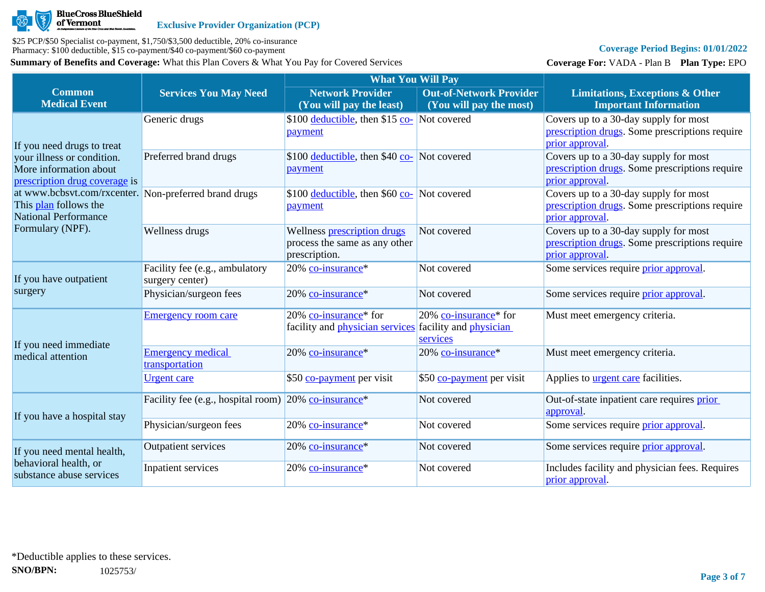

# **Coverage Period Begins: 01/01/2022**

**Coverage For:** VADA - Plan B **Plan Type:** EPO

|                                                                                                               |                                                                     | <b>What You Will Pay</b>                                                                      |                                                           |                                                                                                            |
|---------------------------------------------------------------------------------------------------------------|---------------------------------------------------------------------|-----------------------------------------------------------------------------------------------|-----------------------------------------------------------|------------------------------------------------------------------------------------------------------------|
| <b>Common</b><br><b>Medical Event</b>                                                                         | <b>Services You May Need</b>                                        | <b>Network Provider</b><br>(You will pay the least)                                           | <b>Out-of-Network Provider</b><br>(You will pay the most) | <b>Limitations, Exceptions &amp; Other</b><br><b>Important Information</b>                                 |
| If you need drugs to treat                                                                                    | Generic drugs                                                       | \$100 deductible, then \$15 $\frac{\text{co}}{\text{Co}}$ Not covered<br>payment              |                                                           | Covers up to a 30-day supply for most<br>prescription drugs. Some prescriptions require<br>prior approval. |
| your illness or condition.<br>More information about<br>prescription drug coverage is                         | Preferred brand drugs                                               | \$100 deductible, then \$40 co- Not covered<br>payment                                        |                                                           | Covers up to a 30-day supply for most<br>prescription drugs. Some prescriptions require<br>prior approval  |
| at www.bcbsvt.com/rxcenter. Non-preferred brand drugs<br>This plan follows the<br><b>National Performance</b> |                                                                     | \$100 deductible, then \$60 co- Not covered<br>payment                                        |                                                           | Covers up to a 30-day supply for most<br>prescription drugs. Some prescriptions require<br>prior approval. |
| Formulary (NPF).                                                                                              | Wellness drugs                                                      | Wellness prescription drugs<br>process the same as any other<br>prescription.                 | Not covered                                               | Covers up to a 30-day supply for most<br>prescription drugs. Some prescriptions require<br>prior approval. |
| If you have outpatient                                                                                        | Facility fee (e.g., ambulatory<br>surgery center)                   | 20% co-insurance*                                                                             | Not covered                                               | Some services require <i>prior</i> approval.                                                               |
| surgery                                                                                                       | Physician/surgeon fees                                              | 20% co-insurance*                                                                             | Not covered                                               | Some services require <i>prior</i> approval.                                                               |
| If you need immediate                                                                                         | <b>Emergency room care</b>                                          | 20% co-insurance* for<br>facility and <i>physician services</i> facility and <i>physician</i> | 20% co-insurance* for<br>services                         | Must meet emergency criteria.                                                                              |
| medical attention                                                                                             | <b>Emergency medical</b><br>transportation                          | 20% co-insurance*                                                                             | $20\%$ co-insurance <sup>*</sup>                          | Must meet emergency criteria.                                                                              |
|                                                                                                               | <u>Urgent</u> care                                                  | \$50 co-payment per visit                                                                     | \$50 co-payment per visit                                 | Applies to <b>urgent care</b> facilities.                                                                  |
| If you have a hospital stay                                                                                   | Facility fee (e.g., hospital room) $20\%$ co-insurance <sup>*</sup> |                                                                                               | Not covered                                               | Out-of-state inpatient care requires prior<br>approval.                                                    |
|                                                                                                               | Physician/surgeon fees                                              | 20% co-insurance*                                                                             | Not covered                                               | Some services require <i>prior approval</i> .                                                              |
| If you need mental health,                                                                                    | <b>Outpatient services</b>                                          | 20% co-insurance*                                                                             | Not covered                                               | Some services require <i>prior</i> approval.                                                               |
| behavioral health, or<br>substance abuse services                                                             | Inpatient services                                                  | 20% co-insurance*                                                                             | Not covered                                               | Includes facility and physician fees. Requires<br>prior approval.                                          |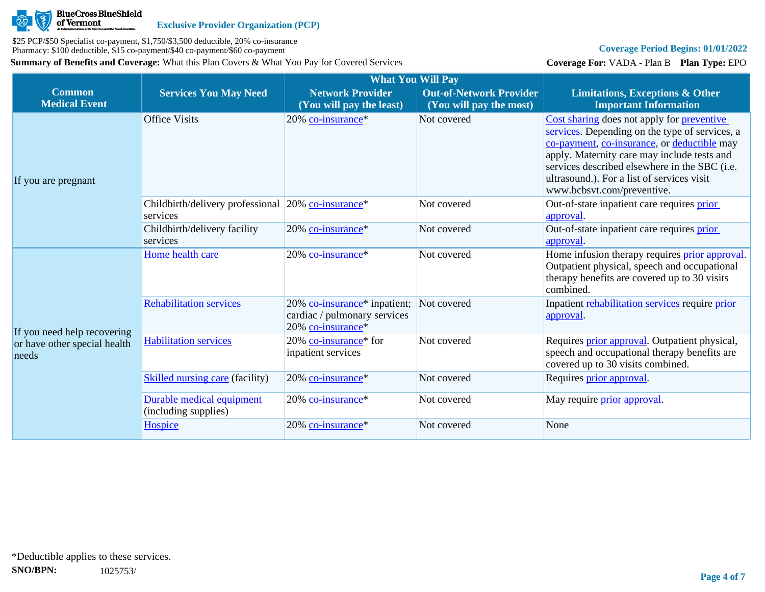

# **Coverage Period Begins: 01/01/2022**

**Coverage For:** VADA - Plan B **Plan Type:** EPO

|                                       |                                                                | <b>What You Will Pay</b>                                                                      |                                                           |                                                                                                                                                                                                                                                                                                                         |
|---------------------------------------|----------------------------------------------------------------|-----------------------------------------------------------------------------------------------|-----------------------------------------------------------|-------------------------------------------------------------------------------------------------------------------------------------------------------------------------------------------------------------------------------------------------------------------------------------------------------------------------|
| <b>Common</b><br><b>Medical Event</b> | <b>Services You May Need</b>                                   | <b>Network Provider</b><br>(You will pay the least)                                           | <b>Out-of-Network Provider</b><br>(You will pay the most) | <b>Limitations, Exceptions &amp; Other</b><br><b>Important Information</b>                                                                                                                                                                                                                                              |
| If you are pregnant                   | <b>Office Visits</b>                                           | 20% co-insurance*                                                                             | Not covered                                               | Cost sharing does not apply for preventive<br>services. Depending on the type of services, a<br>co-payment, co-insurance, or deductible may<br>apply. Maternity care may include tests and<br>services described elsewhere in the SBC (i.e.<br>ultrasound.). For a list of services visit<br>www.bcbsvt.com/preventive. |
|                                       | Childbirth/delivery professional 20% co-insurance*<br>services |                                                                                               | Not covered                                               | Out-of-state inpatient care requires prior<br>approval.                                                                                                                                                                                                                                                                 |
|                                       | Childbirth/delivery facility<br>services                       | $20\%$ co-insurance <sup>*</sup>                                                              | Not covered                                               | Out-of-state inpatient care requires prior<br>approval.                                                                                                                                                                                                                                                                 |
|                                       | Home health care                                               | 20% co-insurance*                                                                             | Not covered                                               | Home infusion therapy requires <b>prior approval</b> .<br>Outpatient physical, speech and occupational<br>therapy benefits are covered up to 30 visits<br>combined.                                                                                                                                                     |
| If you need help recovering           | <b>Rehabilitation services</b>                                 | 20% co-insurance <sup>*</sup> inpatient;<br>cardiac / pulmonary services<br>20% co-insurance* | Not covered                                               | Inpatient rehabilitation services require prior<br>approval.                                                                                                                                                                                                                                                            |
| or have other special health<br>needs | <b>Habilitation services</b>                                   | 20% co-insurance* for<br>inpatient services                                                   | Not covered                                               | Requires <i>prior approval</i> . Outpatient physical,<br>speech and occupational therapy benefits are<br>covered up to 30 visits combined.                                                                                                                                                                              |
|                                       | <b>Skilled nursing care (facility)</b>                         | 20% co-insurance*                                                                             | Not covered                                               | Requires prior approval.                                                                                                                                                                                                                                                                                                |
|                                       | Durable medical equipment<br>(including supplies)              | $20\%$ co-insurance <sup>*</sup>                                                              | Not covered                                               | May require <i>prior</i> approval.                                                                                                                                                                                                                                                                                      |
|                                       | Hospice                                                        | 20% co-insurance*                                                                             | Not covered                                               | None                                                                                                                                                                                                                                                                                                                    |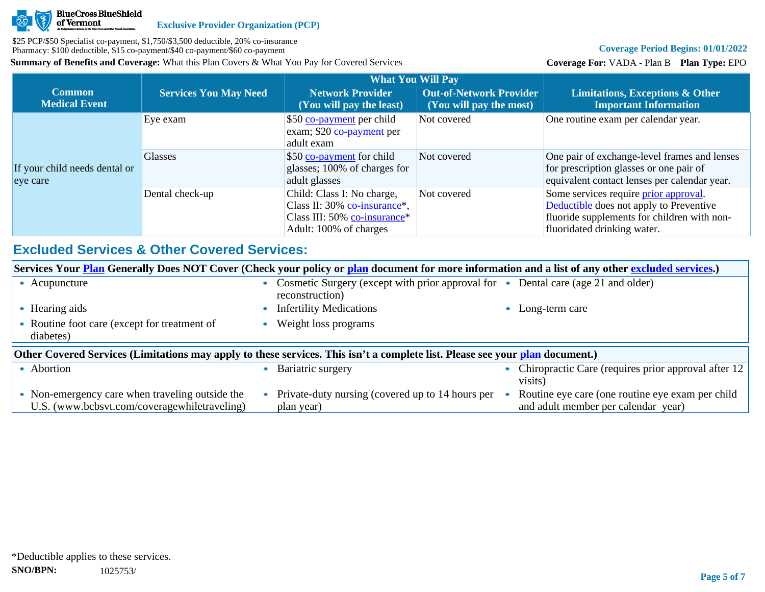

# **Coverage Period Begins: 01/01/2022**

**Coverage For:** VADA - Plan B **Plan Type:** EPO

|                                           |                              | <b>What You Will Pay</b>                                                                                             |                                                           |                                                                                                                                                                       |
|-------------------------------------------|------------------------------|----------------------------------------------------------------------------------------------------------------------|-----------------------------------------------------------|-----------------------------------------------------------------------------------------------------------------------------------------------------------------------|
| <b>Common</b><br><b>Medical Event</b>     | <b>Services You May Need</b> | <b>Network Provider</b><br>(You will pay the least)                                                                  | <b>Out-of-Network Provider</b><br>(You will pay the most) | <b>Limitations, Exceptions &amp; Other</b><br><b>Important Information</b>                                                                                            |
|                                           | Eye exam                     | \$50 co-payment per child<br>exam; \$20 co-payment per<br>adult exam                                                 | Not covered                                               | One routine exam per calendar year.                                                                                                                                   |
| If your child needs dental or<br>eye care | <b>Glasses</b>               | \$50 co-payment for child<br>glasses; 100% of charges for<br>adult glasses                                           | Not covered                                               | One pair of exchange-level frames and lenses<br>for prescription glasses or one pair of<br>equivalent contact lenses per calendar year.                               |
|                                           | Dental check-up              | Child: Class I: No charge,<br>Class II: 30% co-insurance*,<br>Class III: 50% co-insurance*<br>Adult: 100% of charges | Not covered                                               | Some services require <i>prior</i> approval.<br>Deductible does not apply to Preventive<br>fluoride supplements for children with non-<br>fluoridated drinking water. |

# **Excluded Services & Other Covered Services:**

|                                                                                                                              | Services Your <b>Plan</b> Generally Does NOT Cover (Check your policy or plan document for more information and a list of any other excluded services.) |  |                                                                                                      |  |                                                                |  |
|------------------------------------------------------------------------------------------------------------------------------|---------------------------------------------------------------------------------------------------------------------------------------------------------|--|------------------------------------------------------------------------------------------------------|--|----------------------------------------------------------------|--|
|                                                                                                                              | • Acupuncture                                                                                                                                           |  | Cosmetic Surgery (except with prior approval for • Dental care (age 21 and older)<br>reconstruction) |  |                                                                |  |
|                                                                                                                              | • Hearing aids                                                                                                                                          |  | <b>Infertility Medications</b>                                                                       |  | Long-term care                                                 |  |
|                                                                                                                              | • Routine foot care (except for treatment of<br>diabetes)                                                                                               |  | Weight loss programs                                                                                 |  |                                                                |  |
| Other Covered Services (Limitations may apply to these services. This isn't a complete list. Please see your plan document.) |                                                                                                                                                         |  |                                                                                                      |  |                                                                |  |
|                                                                                                                              |                                                                                                                                                         |  |                                                                                                      |  |                                                                |  |
|                                                                                                                              | • Abortion                                                                                                                                              |  | Bariatric surgery                                                                                    |  | Chiropractic Care (requires prior approval after 12<br>visits) |  |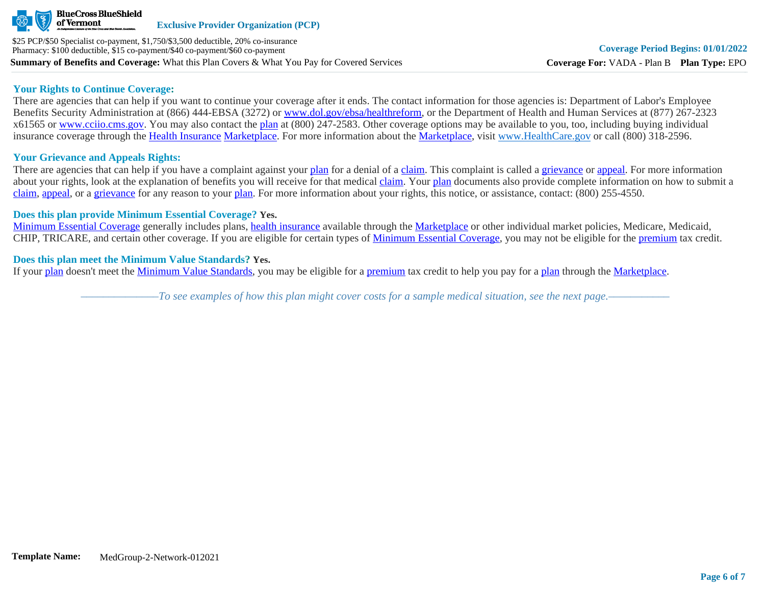

#### **Your Rights to Continue Coverage:**

There are agencies that can help if you want to continue your coverage after it ends. The contact information for those agencies is: Department of Labor's Employee Benefits Security Administration at (866) 444-EBSA (3272) or [www.dol.gov/ebsa/healthreform](http://www.dol.gov/ebsa/healthreform), or the Department of Health and Human Services at (877) 267-2323 x61565 or [www.cciio.cms.gov](http://www.cciio.cms.gov/). You may also contact the [plan](https://www.healthcare.gov/sbc-glossary/#plan) at (800) 247-2583. Other coverage options may be available to you, too, including buying individual insurance coverage through the [Health Insurance](https://www.healthcare.gov/sbc-glossary/#health-insurance) [Marketplace.](https://www.healthcare.gov/sbc-glossary/#marketplace) For more information about the [Marketplace,](https://www.healthcare.gov/sbc-glossary/#marketplace) visit [www.HealthCare.gov](http://www.healthcare.gov/) or call (800) 318-2596.

# **Your Grievance and Appeals Rights:**

There are agencies that can help if you have a complaint against your [plan](https://www.healthcare.gov/sbc-glossary/#plan) for a denial of a [claim.](https://www.healthcare.gov/sbc-glossary/#claim) This complaint is called a [grievance](https://www.healthcare.gov/sbc-glossary/#grievance) or [appeal](https://www.healthcare.gov/sbc-glossary/#appeal). For more information about your rights, look at the explanation of benefits you will receive for that medical [claim](https://www.healthcare.gov/sbc-glossary/#claim). Your [plan](https://www.healthcare.gov/sbc-glossary/#plan) documents also provide complete information on how to submit a [claim](https://www.healthcare.gov/sbc-glossary/#claim), [appeal](https://www.healthcare.gov/sbc-glossary/#appeal), or a [grievance](https://www.healthcare.gov/sbc-glossary/#grievance) for any reason to your [plan.](https://www.healthcare.gov/sbc-glossary/#plan) For more information about your rights, this notice, or assistance, contact: (800) 255-4550.

#### **Does this plan provide Minimum Essential Coverage? Yes.**

[Minimum Essential Coverage](https://www.healthcare.gov/sbc-glossary/#minimum-essential-coverage) generally includes plans, [health insurance](https://www.healthcare.gov/sbc-glossary/#health-insurance) available through the [Marketplace](https://www.healthcare.gov/sbc-glossary/#marketplace) or other individual market policies, Medicare, Medicaid, CHIP, TRICARE, and certain other coverage. If you are eligible for certain types of [Minimum Essential Coverage](https://www.healthcare.gov/sbc-glossary/#minimum-essential-coverage), you may not be eligible for the [premium](https://www.healthcare.gov/sbc-glossary/#premium) tax credit.

#### **Does this plan meet the Minimum Value Standards? Yes.**

If your [plan](https://www.healthcare.gov/sbc-glossary/#plan) doesn't meet the [Minimum Value Standards](https://www.healthcare.gov/sbc-glossary/#minimum-value-standard), you may be eligible for a [premium](https://www.healthcare.gov/sbc-glossary/#premium) tax credit to help you pay for a [plan](https://www.healthcare.gov/sbc-glossary/#plan) through the [Marketplace](https://www.healthcare.gov/sbc-glossary/#marketplace).

*––––––––––––––To see examples of how this plan might cover costs for a sample medical situation, see the next page.–––––––––––*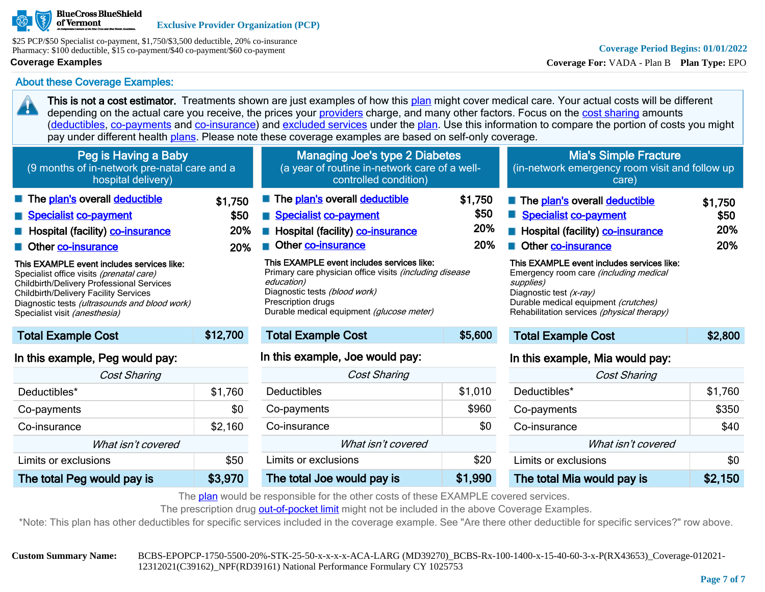

\$25 PCP/\$50 Specialist co-payment, \$1,750/\$3,500 deductible, 20% co-insurance Pharmacy: \$100 deductible, \$15 co-payment/\$40 co-payment/\$60 co-payment

### **Coverage Examples**

20

# **Coverage Period Begins: 01/01/2022**

**Coverage For:** VADA - Plan B **Plan Type:** EPO

About these Coverage Examples:

This is not a cost estimator. Treatments shown are just examples of how this [plan](https://www.healthcare.gov/sbc-glossary/#plan) might cover medical care. Your actual costs will be different depending on the actual care you receive, the prices your [providers](https://www.healthcare.gov/sbc-glossary/#provider) charge, and many other factors. Focus on the [cost sharing](https://www.healthcare.gov/sbc-glossary/#cost-sharing) amounts ([deductibles,](https://www.healthcare.gov/sbc-glossary/#deductible) [co-payments](https://www.healthcare.gov/sbc-glossary/#co-payment) and [co-insurance\)](https://www.healthcare.gov/sbc-glossary/#co-insurance) and [excluded services](https://www.healthcare.gov/sbc-glossary/#excluded-services) under the [plan](https://www.healthcare.gov/sbc-glossary/#plan). Use this information to compare the portion of costs you might pay under different health [plans.](https://www.healthcare.gov/sbc-glossary/#plan) Please note these coverage examples are based on self-only coverage.

| Peg is Having a Baby<br>(9 months of in-network pre-natal care and a<br>hospital delivery)                                                                                                                                                                                                                                                                                                                |                               | Managing Joe's type 2 Diabetes<br>(a year of routine in-network care of a well-<br>controlled condition)                                                                                                                                                                                                                                                           |                                      | <b>Mia's Simple Fracture</b><br>(in-network emergency room visit and follow up<br>care)                                                                                                                                                                                                                                                       |                               |
|-----------------------------------------------------------------------------------------------------------------------------------------------------------------------------------------------------------------------------------------------------------------------------------------------------------------------------------------------------------------------------------------------------------|-------------------------------|--------------------------------------------------------------------------------------------------------------------------------------------------------------------------------------------------------------------------------------------------------------------------------------------------------------------------------------------------------------------|--------------------------------------|-----------------------------------------------------------------------------------------------------------------------------------------------------------------------------------------------------------------------------------------------------------------------------------------------------------------------------------------------|-------------------------------|
| The plan's overall deductible<br>Specialist co-payment<br><b>E</b> Hospital (facility) <b>co-insurance</b><br>Other co-insurance<br>This EXAMPLE event includes services like:<br>Specialist office visits (prenatal care)<br>Childbirth/Delivery Professional Services<br><b>Childbirth/Delivery Facility Services</b><br>Diagnostic tests (ultrasounds and blood work)<br>Specialist visit (anesthesia) | \$1.750<br>\$50<br>20%<br>20% | The plan's overall deductible<br>Specialist co-payment<br><b>E</b> Hospital (facility) <b>co-insurance</b><br>Other co-insurance<br>This EXAMPLE event includes services like:<br>Primary care physician office visits <i>(including disease</i><br>education)<br>Diagnostic tests (blood work)<br>Prescription drugs<br>Durable medical equipment (glucose meter) | \$1,750<br>\$50<br>20%<br><b>20%</b> | The plan's overall deductible<br>Specialist co-payment<br>Hospital (facility) co-insurance<br>Other co-insurance<br>This EXAMPLE event includes services like:<br>Emergency room care <i>(including medical</i><br>supplies)<br>Diagnostic test (x-ray)<br>Durable medical equipment (crutches)<br>Rehabilitation services (physical therapy) | \$1,750<br>\$50<br>20%<br>20% |
| <b>Total Example Cost</b>                                                                                                                                                                                                                                                                                                                                                                                 | \$12,700                      | <b>Total Example Cost</b>                                                                                                                                                                                                                                                                                                                                          | \$5,600                              | <b>Total Example Cost</b>                                                                                                                                                                                                                                                                                                                     | \$2,800                       |
| In this example, Peg would pay:                                                                                                                                                                                                                                                                                                                                                                           |                               | In this example, Joe would pay:                                                                                                                                                                                                                                                                                                                                    |                                      | In this example, Mia would pay:                                                                                                                                                                                                                                                                                                               |                               |
| <b>Cost Sharing</b>                                                                                                                                                                                                                                                                                                                                                                                       |                               | Cost Sharing                                                                                                                                                                                                                                                                                                                                                       |                                      | <b>Cost Sharing</b>                                                                                                                                                                                                                                                                                                                           |                               |
| Deductibles*                                                                                                                                                                                                                                                                                                                                                                                              | \$1,760                       | <b>Deductibles</b>                                                                                                                                                                                                                                                                                                                                                 | \$1,010                              | Deductibles <sup>*</sup>                                                                                                                                                                                                                                                                                                                      | \$1,760                       |

| <i><b>COST SHAHING</b></i> |         |
|----------------------------|---------|
| Deductibles <sup>*</sup>   | \$1,760 |
| Co-payments                | \$0     |
| Co-insurance               | \$2,160 |
| What isn't covered         |         |
| Limits or exclusions       | \$50    |
| The total Peg would pay is | \$3,970 |

| Cost Sharing               |         |  |
|----------------------------|---------|--|
| Deductibles                | \$1,010 |  |
| Co-payments                | \$960   |  |
| Co-insurance               | \$0     |  |
| What isn't covered         |         |  |
| Limits or exclusions       | \$20    |  |
| The total Joe would pay is | \$1,990 |  |

| Cost Sharing               |         |
|----------------------------|---------|
| Deductibles*               | \$1,760 |
| Co-payments                | \$350   |
| Co-insurance               | \$40    |
| What isn't covered         |         |
| Limits or exclusions       | \$0     |
| The total Mia would pay is | \$2,150 |

The [plan](https://www.healthcare.gov/sbc-glossary/#plan) would be responsible for the other costs of these EXAMPLE covered services.

The prescription drug [out-of-pocket limit](https://www.healthcare.gov/sbc-glossary/#out-of-pocket-limit) might not be included in the above Coverage Examples.

\*Note: This plan has other deductibles for specific services included in the coverage example. See "Are there other deductible for specific services?" row above.

**Custom Summary Name:** BCBS-EPOPCP-1750-5500-20%-STK-25-50-x-x-x-x-ACA-LARG (MD39270)\_BCBS-Rx-100-1400-x-15-40-60-3-x-P(RX43653)\_Coverage-012021- 12312021(C39162)\_NPF(RD39161) National Performance Formulary CY 1025753